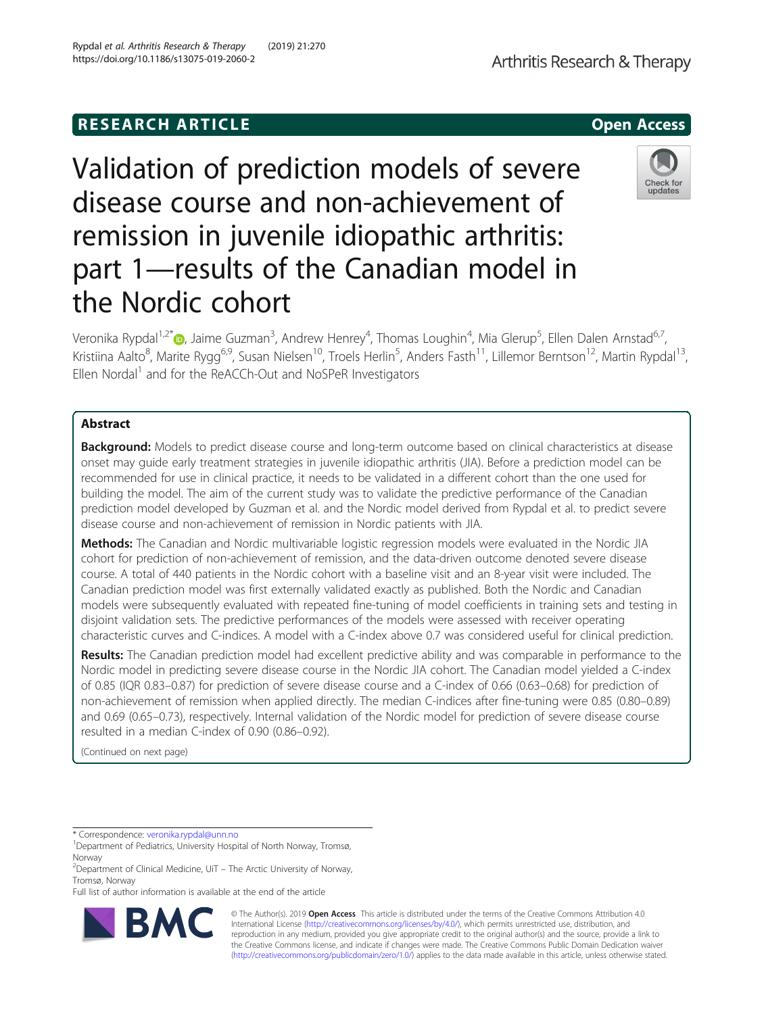# **RESEARCH ARTICLE Example 20 and 20 and 20 and 20 and 20 and 20 and 20 and 20 and 20 and 20 and 20 and 20 and 20 and 20 and 20 and 20 and 20 and 20 and 20 and 20 and 20 and 20 and 20 and 20 and 20 and 20 and 20 and 20 an**

Validation of prediction models of severe disease course and non-achievement of remission in juvenile idiopathic arthritis: part 1—results of the Canadian model in the Nordic cohort

Veronika Rypdal<sup>1,2[\\*](http://orcid.org/0000-0003-3476-305X)</sup>®, Jaime Guzman<sup>3</sup>, Andrew Henrey<sup>4</sup>, Thomas Loughin<sup>4</sup>, Mia Glerup<sup>5</sup>, Ellen Dalen Arnstad<sup>6,7</sup>, Kristiina Aalto<sup>8</sup>, Marite Rygg<sup>6,9</sup>, Susan Nielsen<sup>10</sup>, Troels Herlin<sup>5</sup>, Anders Fasth<sup>11</sup>, Lillemor Berntson<sup>12</sup>, Martin Rypdal<sup>13</sup>, Ellen Nordal<sup>1</sup> and for the ReACCh-Out and NoSPeR Investigators

## Abstract

Background: Models to predict disease course and long-term outcome based on clinical characteristics at disease onset may guide early treatment strategies in juvenile idiopathic arthritis (JIA). Before a prediction model can be recommended for use in clinical practice, it needs to be validated in a different cohort than the one used for building the model. The aim of the current study was to validate the predictive performance of the Canadian prediction model developed by Guzman et al. and the Nordic model derived from Rypdal et al. to predict severe disease course and non-achievement of remission in Nordic patients with JIA.

Methods: The Canadian and Nordic multivariable logistic regression models were evaluated in the Nordic JIA cohort for prediction of non-achievement of remission, and the data-driven outcome denoted severe disease course. A total of 440 patients in the Nordic cohort with a baseline visit and an 8-year visit were included. The Canadian prediction model was first externally validated exactly as published. Both the Nordic and Canadian models were subsequently evaluated with repeated fine-tuning of model coefficients in training sets and testing in disjoint validation sets. The predictive performances of the models were assessed with receiver operating characteristic curves and C-indices. A model with a C-index above 0.7 was considered useful for clinical prediction.

Results: The Canadian prediction model had excellent predictive ability and was comparable in performance to the Nordic model in predicting severe disease course in the Nordic JIA cohort. The Canadian model yielded a C-index of 0.85 (IQR 0.83–0.87) for prediction of severe disease course and a C-index of 0.66 (0.63–0.68) for prediction of non-achievement of remission when applied directly. The median C-indices after fine-tuning were 0.85 (0.80–0.89) and 0.69 (0.65–0.73), respectively. Internal validation of the Nordic model for prediction of severe disease course resulted in a median C-index of 0.90 (0.86–0.92).

> © The Author(s). 2019 **Open Access** This article is distributed under the terms of the Creative Commons Attribution 4.0 International License [\(http://creativecommons.org/licenses/by/4.0/](http://creativecommons.org/licenses/by/4.0/)), which permits unrestricted use, distribution, and reproduction in any medium, provided you give appropriate credit to the original author(s) and the source, provide a link to the Creative Commons license, and indicate if changes were made. The Creative Commons Public Domain Dedication waiver [\(http://creativecommons.org/publicdomain/zero/1.0/](http://creativecommons.org/publicdomain/zero/1.0/)) applies to the data made available in this article, unless otherwise stated.

(Continued on next page)

\* Correspondence: [veronika.rypdal@unn.no](mailto:veronika.rypdal@unn.no) <sup>1</sup>







<sup>&</sup>lt;sup>1</sup>Department of Pediatrics, University Hospital of North Norway, Tromsø, Norway

<sup>&</sup>lt;sup>2</sup> Department of Clinical Medicine, UiT - The Arctic University of Norway, Tromsø, Norway

Full list of author information is available at the end of the article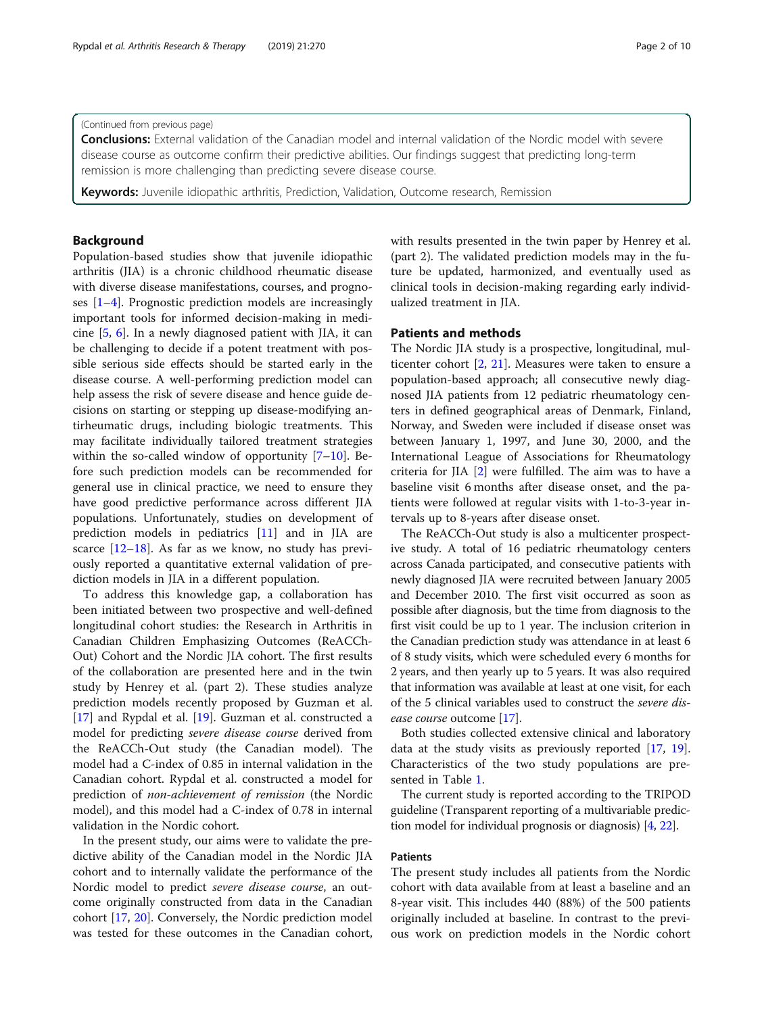### (Continued from previous page)

Conclusions: External validation of the Canadian model and internal validation of the Nordic model with severe disease course as outcome confirm their predictive abilities. Our findings suggest that predicting long-term remission is more challenging than predicting severe disease course.

**Keywords:** Juvenile idiopathic arthritis, Prediction, Validation, Outcome research, Remission

## Background

Population-based studies show that juvenile idiopathic arthritis (JIA) is a chronic childhood rheumatic disease with diverse disease manifestations, courses, and prognoses [[1](#page-8-0)–[4](#page-8-0)]. Prognostic prediction models are increasingly important tools for informed decision-making in medicine [\[5,](#page-8-0) [6](#page-8-0)]. In a newly diagnosed patient with JIA, it can be challenging to decide if a potent treatment with possible serious side effects should be started early in the disease course. A well-performing prediction model can help assess the risk of severe disease and hence guide decisions on starting or stepping up disease-modifying antirheumatic drugs, including biologic treatments. This may facilitate individually tailored treatment strategies within the so-called window of opportunity [[7](#page-8-0)–[10](#page-8-0)]. Before such prediction models can be recommended for general use in clinical practice, we need to ensure they have good predictive performance across different JIA populations. Unfortunately, studies on development of prediction models in pediatrics [\[11](#page-8-0)] and in JIA are scarce [[12](#page-8-0)–[18](#page-9-0)]. As far as we know, no study has previously reported a quantitative external validation of prediction models in JIA in a different population.

To address this knowledge gap, a collaboration has been initiated between two prospective and well-defined longitudinal cohort studies: the Research in Arthritis in Canadian Children Emphasizing Outcomes (ReACCh-Out) Cohort and the Nordic JIA cohort. The first results of the collaboration are presented here and in the twin study by Henrey et al. (part 2). These studies analyze prediction models recently proposed by Guzman et al. [[17\]](#page-9-0) and Rypdal et al. [\[19](#page-9-0)]. Guzman et al. constructed a model for predicting severe disease course derived from the ReACCh-Out study (the Canadian model). The model had a C-index of 0.85 in internal validation in the Canadian cohort. Rypdal et al. constructed a model for prediction of non-achievement of remission (the Nordic model), and this model had a C-index of 0.78 in internal validation in the Nordic cohort.

In the present study, our aims were to validate the predictive ability of the Canadian model in the Nordic JIA cohort and to internally validate the performance of the Nordic model to predict severe disease course, an outcome originally constructed from data in the Canadian cohort [[17](#page-9-0), [20\]](#page-9-0). Conversely, the Nordic prediction model was tested for these outcomes in the Canadian cohort, with results presented in the twin paper by Henrey et al. (part 2). The validated prediction models may in the future be updated, harmonized, and eventually used as clinical tools in decision-making regarding early individualized treatment in JIA.

## Patients and methods

The Nordic JIA study is a prospective, longitudinal, multicenter cohort [[2,](#page-8-0) [21\]](#page-9-0). Measures were taken to ensure a population-based approach; all consecutive newly diagnosed JIA patients from 12 pediatric rheumatology centers in defined geographical areas of Denmark, Finland, Norway, and Sweden were included if disease onset was between January 1, 1997, and June 30, 2000, and the International League of Associations for Rheumatology criteria for JIA [\[2](#page-8-0)] were fulfilled. The aim was to have a baseline visit 6 months after disease onset, and the patients were followed at regular visits with 1-to-3-year intervals up to 8-years after disease onset.

The ReACCh-Out study is also a multicenter prospective study. A total of 16 pediatric rheumatology centers across Canada participated, and consecutive patients with newly diagnosed JIA were recruited between January 2005 and December 2010. The first visit occurred as soon as possible after diagnosis, but the time from diagnosis to the first visit could be up to 1 year. The inclusion criterion in the Canadian prediction study was attendance in at least 6 of 8 study visits, which were scheduled every 6 months for 2 years, and then yearly up to 5 years. It was also required that information was available at least at one visit, for each of the 5 clinical variables used to construct the severe disease course outcome [\[17\]](#page-9-0).

Both studies collected extensive clinical and laboratory data at the study visits as previously reported [\[17,](#page-9-0) [19](#page-9-0)]. Characteristics of the two study populations are presented in Table [1.](#page-2-0)

The current study is reported according to the TRIPOD guideline (Transparent reporting of a multivariable prediction model for individual prognosis or diagnosis) [\[4,](#page-8-0) [22](#page-9-0)].

## Patients

The present study includes all patients from the Nordic cohort with data available from at least a baseline and an 8-year visit. This includes 440 (88%) of the 500 patients originally included at baseline. In contrast to the previous work on prediction models in the Nordic cohort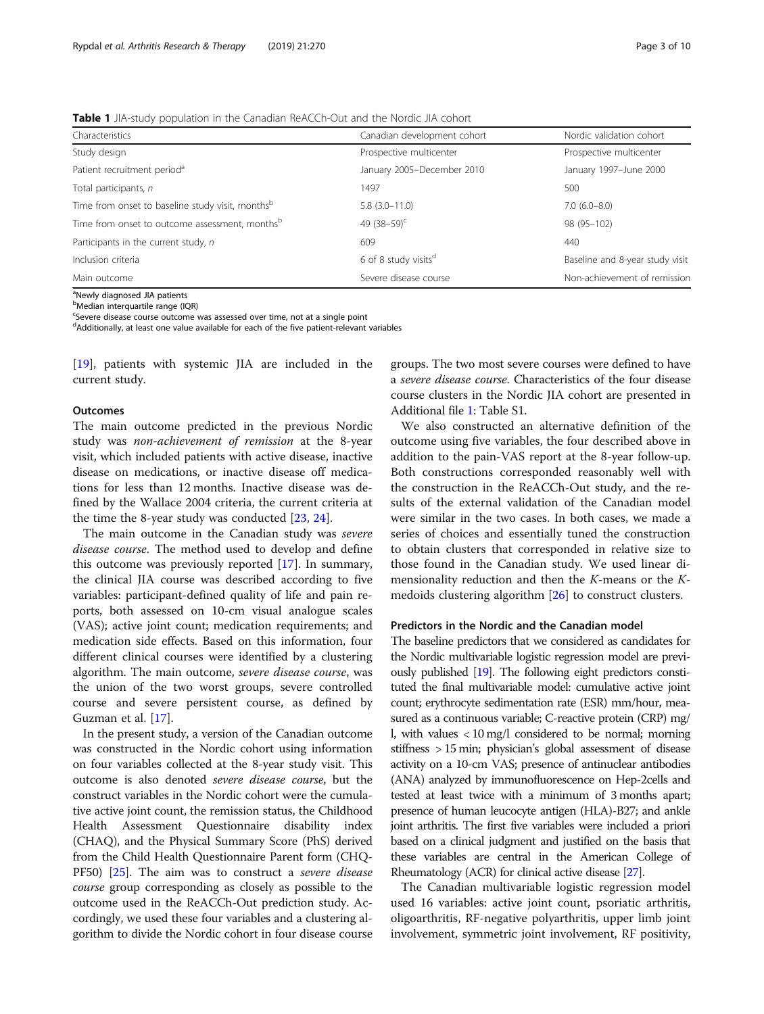<span id="page-2-0"></span>Table 1 JIA-study population in the Canadian ReACCh-Out and the Nordic JIA cohort

| Characteristics                                              | Canadian development cohort      | Nordic validation cohort        |  |
|--------------------------------------------------------------|----------------------------------|---------------------------------|--|
| Study design                                                 | Prospective multicenter          | Prospective multicenter         |  |
| Patient recruitment period <sup>a</sup>                      | January 2005-December 2010       | January 1997-June 2000          |  |
| Total participants, n                                        | 1497                             | 500                             |  |
| Time from onset to baseline study visit, months <sup>b</sup> | $5.8(3.0-11.0)$                  | $7.0(6.0-8.0)$                  |  |
| Time from onset to outcome assessment, monthsb               | 49 $(38-59)^c$                   | 98 (95-102)                     |  |
| Participants in the current study, n                         | 609                              | 440                             |  |
| Inclusion criteria                                           | 6 of 8 study visits <sup>d</sup> | Baseline and 8-year study visit |  |
| Main outcome                                                 | Severe disease course            | Non-achievement of remission    |  |

<sup>a</sup>Newly diagnosed JIA patients

**b**Median interquartile range (IQR)

<sup>c</sup>Severe disease course outcome was assessed over time, not at a single point

<sup>d</sup>Additionally, at least one value available for each of the five patient-relevant variables

[[19\]](#page-9-0), patients with systemic JIA are included in the current study.

#### **Outcomes**

The main outcome predicted in the previous Nordic study was non-achievement of remission at the 8-year visit, which included patients with active disease, inactive disease on medications, or inactive disease off medications for less than 12 months. Inactive disease was defined by the Wallace 2004 criteria, the current criteria at the time the 8-year study was conducted [\[23](#page-9-0), [24](#page-9-0)].

The main outcome in the Canadian study was severe disease course. The method used to develop and define this outcome was previously reported [[17](#page-9-0)]. In summary, the clinical JIA course was described according to five variables: participant-defined quality of life and pain reports, both assessed on 10-cm visual analogue scales (VAS); active joint count; medication requirements; and medication side effects. Based on this information, four different clinical courses were identified by a clustering algorithm. The main outcome, severe disease course, was the union of the two worst groups, severe controlled course and severe persistent course, as defined by Guzman et al. [\[17](#page-9-0)].

In the present study, a version of the Canadian outcome was constructed in the Nordic cohort using information on four variables collected at the 8-year study visit. This outcome is also denoted severe disease course, but the construct variables in the Nordic cohort were the cumulative active joint count, the remission status, the Childhood Health Assessment Questionnaire disability index (CHAQ), and the Physical Summary Score (PhS) derived from the Child Health Questionnaire Parent form (CHQ-PF50) [\[25\]](#page-9-0). The aim was to construct a severe disease course group corresponding as closely as possible to the outcome used in the ReACCh-Out prediction study. Accordingly, we used these four variables and a clustering algorithm to divide the Nordic cohort in four disease course

groups. The two most severe courses were defined to have a severe disease course. Characteristics of the four disease course clusters in the Nordic JIA cohort are presented in Additional file [1](#page-8-0): Table S1.

We also constructed an alternative definition of the outcome using five variables, the four described above in addition to the pain-VAS report at the 8-year follow-up. Both constructions corresponded reasonably well with the construction in the ReACCh-Out study, and the results of the external validation of the Canadian model were similar in the two cases. In both cases, we made a series of choices and essentially tuned the construction to obtain clusters that corresponded in relative size to those found in the Canadian study. We used linear dimensionality reduction and then the K-means or the Kmedoids clustering algorithm [[26\]](#page-9-0) to construct clusters.

#### Predictors in the Nordic and the Canadian model

The baseline predictors that we considered as candidates for the Nordic multivariable logistic regression model are previously published [\[19](#page-9-0)]. The following eight predictors constituted the final multivariable model: cumulative active joint count; erythrocyte sedimentation rate (ESR) mm/hour, measured as a continuous variable; C-reactive protein (CRP) mg/ l, with values < 10 mg/l considered to be normal; morning stiffness > 15 min; physician's global assessment of disease activity on a 10-cm VAS; presence of antinuclear antibodies (ANA) analyzed by immunofluorescence on Hep-2cells and tested at least twice with a minimum of 3 months apart; presence of human leucocyte antigen (HLA)-B27; and ankle joint arthritis. The first five variables were included a priori based on a clinical judgment and justified on the basis that these variables are central in the American College of Rheumatology (ACR) for clinical active disease [[27\]](#page-9-0).

The Canadian multivariable logistic regression model used 16 variables: active joint count, psoriatic arthritis, oligoarthritis, RF-negative polyarthritis, upper limb joint involvement, symmetric joint involvement, RF positivity,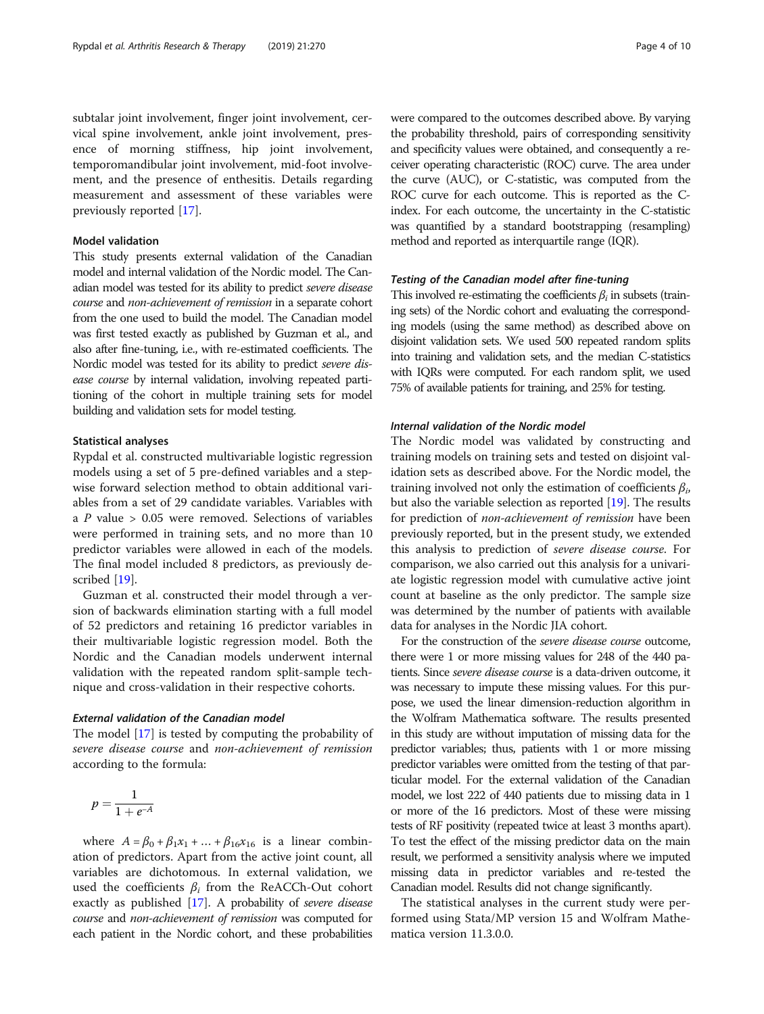subtalar joint involvement, finger joint involvement, cervical spine involvement, ankle joint involvement, presence of morning stiffness, hip joint involvement, temporomandibular joint involvement, mid-foot involvement, and the presence of enthesitis. Details regarding measurement and assessment of these variables were previously reported [\[17\]](#page-9-0).

### Model validation

This study presents external validation of the Canadian model and internal validation of the Nordic model. The Canadian model was tested for its ability to predict severe disease course and non-achievement of remission in a separate cohort from the one used to build the model. The Canadian model was first tested exactly as published by Guzman et al., and also after fine-tuning, i.e., with re-estimated coefficients. The Nordic model was tested for its ability to predict severe disease course by internal validation, involving repeated partitioning of the cohort in multiple training sets for model building and validation sets for model testing.

### Statistical analyses

Rypdal et al. constructed multivariable logistic regression models using a set of 5 pre-defined variables and a stepwise forward selection method to obtain additional variables from a set of 29 candidate variables. Variables with a  $P$  value  $> 0.05$  were removed. Selections of variables were performed in training sets, and no more than 10 predictor variables were allowed in each of the models. The final model included 8 predictors, as previously de-scribed [[19\]](#page-9-0).

Guzman et al. constructed their model through a version of backwards elimination starting with a full model of 52 predictors and retaining 16 predictor variables in their multivariable logistic regression model. Both the Nordic and the Canadian models underwent internal validation with the repeated random split-sample technique and cross-validation in their respective cohorts.

#### External validation of the Canadian model

The model [[17](#page-9-0)] is tested by computing the probability of severe disease course and non-achievement of remission according to the formula:

$$
p = \frac{1}{1 + e^{-A}}
$$

where  $A = \beta_0 + \beta_1 x_1 + ... + \beta_{16} x_{16}$  is a linear combination of predictors. Apart from the active joint count, all variables are dichotomous. In external validation, we used the coefficients  $\beta_i$  from the ReACCh-Out cohort exactly as published [\[17](#page-9-0)]. A probability of severe disease course and non-achievement of remission was computed for each patient in the Nordic cohort, and these probabilities were compared to the outcomes described above. By varying the probability threshold, pairs of corresponding sensitivity and specificity values were obtained, and consequently a receiver operating characteristic (ROC) curve. The area under the curve (AUC), or C-statistic, was computed from the ROC curve for each outcome. This is reported as the Cindex. For each outcome, the uncertainty in the C-statistic was quantified by a standard bootstrapping (resampling) method and reported as interquartile range (IQR).

## Testing of the Canadian model after fine-tuning

This involved re-estimating the coefficients  $\beta_i$  in subsets (training sets) of the Nordic cohort and evaluating the corresponding models (using the same method) as described above on disjoint validation sets. We used 500 repeated random splits into training and validation sets, and the median C-statistics with IQRs were computed. For each random split, we used 75% of available patients for training, and 25% for testing.

## Internal validation of the Nordic model

The Nordic model was validated by constructing and training models on training sets and tested on disjoint validation sets as described above. For the Nordic model, the training involved not only the estimation of coefficients  $\beta_i$ , but also the variable selection as reported [\[19\]](#page-9-0). The results for prediction of non-achievement of remission have been previously reported, but in the present study, we extended this analysis to prediction of severe disease course. For comparison, we also carried out this analysis for a univariate logistic regression model with cumulative active joint count at baseline as the only predictor. The sample size was determined by the number of patients with available data for analyses in the Nordic JIA cohort.

For the construction of the severe disease course outcome, there were 1 or more missing values for 248 of the 440 patients. Since severe disease course is a data-driven outcome, it was necessary to impute these missing values. For this purpose, we used the linear dimension-reduction algorithm in the Wolfram Mathematica software. The results presented in this study are without imputation of missing data for the predictor variables; thus, patients with 1 or more missing predictor variables were omitted from the testing of that particular model. For the external validation of the Canadian model, we lost 222 of 440 patients due to missing data in 1 or more of the 16 predictors. Most of these were missing tests of RF positivity (repeated twice at least 3 months apart). To test the effect of the missing predictor data on the main result, we performed a sensitivity analysis where we imputed missing data in predictor variables and re-tested the Canadian model. Results did not change significantly.

The statistical analyses in the current study were performed using Stata/MP version 15 and Wolfram Mathematica version 11.3.0.0.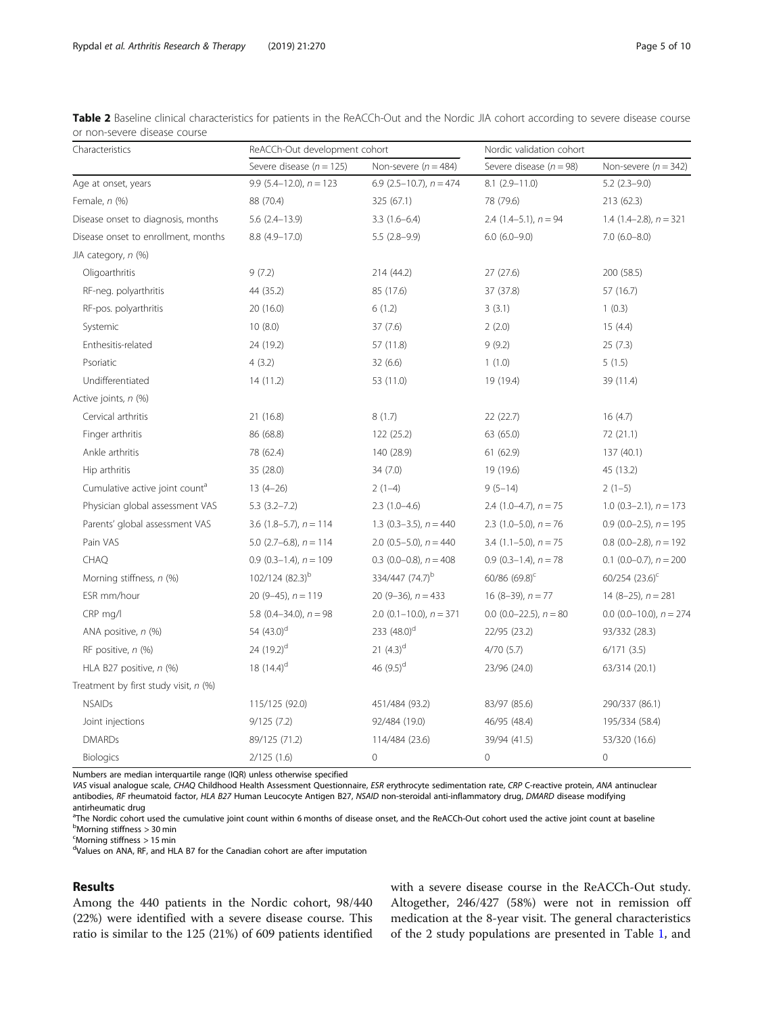<span id="page-4-0"></span>

| Table 2 Baseline clinical characteristics for patients in the ReACCh-Out and the Nordic JIA cohort according to severe disease course |  |  |  |
|---------------------------------------------------------------------------------------------------------------------------------------|--|--|--|
| or non-severe disease course                                                                                                          |  |  |  |

| Characteristics                            | ReACCh-Out development cohort |                              | Nordic validation cohort    |                             |  |
|--------------------------------------------|-------------------------------|------------------------------|-----------------------------|-----------------------------|--|
|                                            | Severe disease ( $n = 125$ )  | Non-severe ( $n = 484$ )     | Severe disease ( $n = 98$ ) | Non-severe ( $n = 342$ )    |  |
| Age at onset, years                        | 9.9 $(5.4-12.0)$ , $n = 123$  | 6.9 $(2.5-10.7)$ , $n = 474$ | $8.1(2.9 - 11.0)$           | $5.2$ $(2.3-9.0)$           |  |
| Female, $n$ (%)                            | 88 (70.4)                     | 325 (67.1)                   | 78 (79.6)                   | 213 (62.3)                  |  |
| Disease onset to diagnosis, months         | $5.6(2.4-13.9)$               | $3.3(1.6-6.4)$               | 2.4 $(1.4-5.1)$ , $n = 94$  | 1.4 $(1.4-2.8)$ , $n = 321$ |  |
| Disease onset to enrollment, months        | 8.8 (4.9-17.0)                | $5.5(2.8-9.9)$               | $6.0$ $(6.0-9.0)$           | $7.0$ (6.0-8.0)             |  |
| JIA category, n (%)                        |                               |                              |                             |                             |  |
| Oligoarthritis                             | 9(7.2)                        | 214 (44.2)                   | 27(27.6)                    | 200 (58.5)                  |  |
| RF-neg. polyarthritis                      | 44 (35.2)                     | 85 (17.6)                    | 37 (37.8)                   | 57 (16.7)                   |  |
| RF-pos. polyarthritis                      | 20 (16.0)                     | 6(1.2)                       | 3(3.1)                      | 1(0.3)                      |  |
| Systemic                                   | 10(8.0)                       | 37(7.6)                      | 2(2.0)                      | 15(4.4)                     |  |
| Enthesitis-related                         | 24 (19.2)                     | 57 (11.8)                    | 9(9.2)                      | 25(7.3)                     |  |
| Psoriatic                                  | 4(3.2)                        | 32(6.6)                      | 1(1.0)                      | 5(1.5)                      |  |
| Undifferentiated                           | 14(11.2)                      | 53 (11.0)                    | 19 (19.4)                   | 39 (11.4)                   |  |
| Active joints, n (%)                       |                               |                              |                             |                             |  |
| Cervical arthritis                         | 21 (16.8)                     | 8(1.7)                       | 22 (22.7)                   | 16(4.7)                     |  |
| Finger arthritis                           | 86 (68.8)                     | 122 (25.2)                   | 63 (65.0)                   | 72 (21.1)                   |  |
| Ankle arthritis                            | 78 (62.4)                     | 140 (28.9)                   | 61 (62.9)                   | 137 (40.1)                  |  |
| Hip arthritis                              | 35 (28.0)                     | 34(7.0)                      | 19 (19.6)                   | 45 (13.2)                   |  |
| Cumulative active joint count <sup>a</sup> | $13(4-26)$                    | $2(1-4)$                     | $9(5-14)$                   | $2(1-5)$                    |  |
| Physician global assessment VAS            | $5.3(3.2 - 7.2)$              | $2.3(1.0-4.6)$               | 2.4 $(1.0-4.7)$ , $n = 75$  | 1.0 $(0.3-2.1)$ , $n = 173$ |  |
| Parents' global assessment VAS             | 3.6 $(1.8-5.7)$ , $n = 114$   | 1.3 $(0.3-3.5)$ , $n = 440$  | 2.3 $(1.0-5.0)$ , $n = 76$  | 0.9 (0.0–2.5), $n = 195$    |  |
| Pain VAS                                   | 5.0 $(2.7-6.8)$ , $n = 114$   | 2.0 $(0.5-5.0)$ , $n = 440$  | 3.4 $(1.1-5.0)$ , $n = 75$  | 0.8 $(0.0-2.8)$ , $n = 192$ |  |
| <b>CHAQ</b>                                | $0.9$ (0.3-1.4), $n = 109$    | 0.3 $(0.0-0.8)$ , $n = 408$  | $0.9$ (0.3-1.4), $n = 78$   | 0.1 $(0.0-0.7)$ , $n = 200$ |  |
| Morning stiffness, n (%)                   | $102/124$ (82.3) <sup>b</sup> | 334/447 (74.7) <sup>b</sup>  | $60/86$ $(69.8)^c$          | $60/254$ $(23.6)^c$         |  |
| ESR mm/hour                                | 20 (9-45), $n = 119$          | 20 (9-36), $n = 433$         | $16(8-39)$ , $n = 77$       | $14(8-25)$ , $n = 281$      |  |
| CRP mg/l                                   | 5.8 $(0.4 - 34.0)$ , $n = 98$ | 2.0 $(0.1-10.0)$ , $n = 371$ | 0.0 $(0.0-22.5)$ , $n = 80$ | 0.0 (0.0-10.0), $n = 274$   |  |
| ANA positive, n (%)                        | 54 $(43.0)$ <sup>d</sup>      | 233 $(48.0)^d$               | 22/95 (23.2)                | 93/332 (28.3)               |  |
| RF positive, n (%)                         | 24 (19.2) <sup>d</sup>        | 21 $(4.3)^d$                 | 4/70(5.7)                   | 6/171(3.5)                  |  |
| HLA B27 positive, n (%)                    | 18 $(14.4)^d$                 | 46 $(9.5)^d$                 | 23/96 (24.0)                | 63/314 (20.1)               |  |
| Treatment by first study visit, n (%)      |                               |                              |                             |                             |  |
| <b>NSAIDs</b>                              | 115/125 (92.0)                | 451/484 (93.2)               | 83/97 (85.6)                | 290/337 (86.1)              |  |
| Joint injections                           | 9/125(7.2)                    | 92/484 (19.0)                | 46/95 (48.4)                | 195/334 (58.4)              |  |
| <b>DMARDs</b>                              | 89/125 (71.2)                 | 114/484 (23.6)               | 39/94 (41.5)                | 53/320 (16.6)               |  |
| <b>Biologics</b>                           | 2/125(1.6)                    | $\mathsf{O}\xspace$          | $\mathbf 0$                 | $\mathbf 0$                 |  |

Numbers are median interquartile range (IQR) unless otherwise specified

VAS visual analogue scale, CHAQ Childhood Health Assessment Questionnaire, ESR erythrocyte sedimentation rate, CRP C-reactive protein, ANA antinuclear antibodies, RF rheumatoid factor, HLA B27 Human Leucocyte Antigen B27, NSAID non-steroidal anti-inflammatory drug, DMARD disease modifying antirheumatic drug

<sup>a</sup>The Nordic cohort used the cumulative joint count within 6 months of disease onset, and the ReACCh-Out cohort used the active joint count at baseline <sup>b</sup>Morning stiffness > 30 min

c Morning stiffness > 15 min

dValues on ANA, RF, and HLA B7 for the Canadian cohort are after imputation

## Results

Among the 440 patients in the Nordic cohort, 98/440 (22%) were identified with a severe disease course. This ratio is similar to the 125 (21%) of 609 patients identified with a severe disease course in the ReACCh-Out study. Altogether, 246/427 (58%) were not in remission off medication at the 8-year visit. The general characteristics of the 2 study populations are presented in Table [1](#page-2-0), and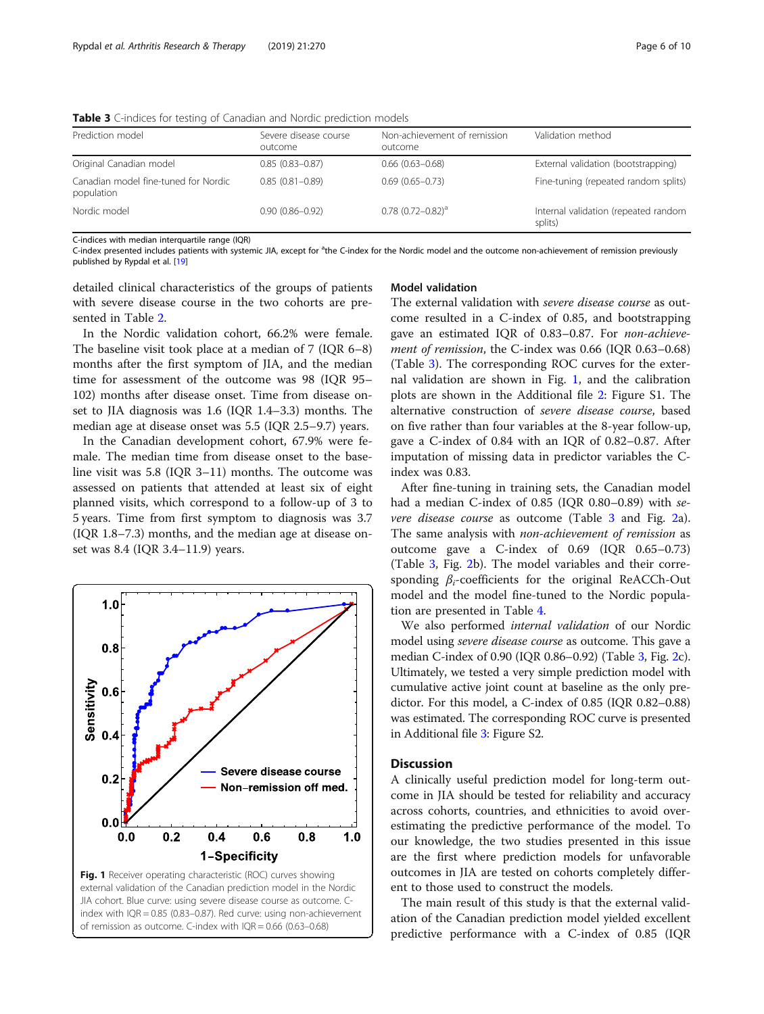| Prediction model                                   | Severe disease course<br>outcome | Non-achievement of remission<br>outcome | Validation method                               |
|----------------------------------------------------|----------------------------------|-----------------------------------------|-------------------------------------------------|
| Original Canadian model                            | $0.85(0.83 - 0.87)$              | $0.66$ $(0.63 - 0.68)$                  | External validation (bootstrapping)             |
| Canadian model fine-tuned for Nordic<br>population | $0.85(0.81 - 0.89)$              | $0.69(0.65 - 0.73)$                     | Fine-tuning (repeated random splits)            |
| Nordic model                                       | $0.90(0.86 - 0.92)$              | $0.78$ $(0.72 - 0.82)^a$                | Internal validation (repeated random<br>splits) |

Table 3 C-indices for testing of Canadian and Nordic prediction models

C-indices with median interquartile range (IQR)

C-index presented includes patients with systemic JIA, except for <sup>a</sup>the C-index for the Nordic model and the outcome non-achievement of remission previously published by Rypdal et al. [\[19\]](#page-9-0)

detailed clinical characteristics of the groups of patients with severe disease course in the two cohorts are presented in Table [2.](#page-4-0)

In the Nordic validation cohort, 66.2% were female. The baseline visit took place at a median of 7 (IQR 6–8) months after the first symptom of JIA, and the median time for assessment of the outcome was 98 (IQR 95– 102) months after disease onset. Time from disease onset to JIA diagnosis was 1.6 (IQR 1.4–3.3) months. The median age at disease onset was 5.5 (IQR 2.5–9.7) years.

In the Canadian development cohort, 67.9% were female. The median time from disease onset to the baseline visit was 5.8 (IQR 3–11) months. The outcome was assessed on patients that attended at least six of eight planned visits, which correspond to a follow-up of 3 to 5 years. Time from first symptom to diagnosis was 3.7 (IQR 1.8–7.3) months, and the median age at disease onset was 8.4 (IQR 3.4–11.9) years.



JIA cohort. Blue curve: using severe disease course as outcome. Cindex with IQR = 0.85 (0.83–0.87). Red curve: using non-achievement of remission as outcome. C-index with IQR = 0.66 (0.63–0.68)

## Model validation

The external validation with severe disease course as outcome resulted in a C-index of 0.85, and bootstrapping gave an estimated IQR of 0.83–0.87. For non-achievement of remission, the C-index was 0.66 (IQR 0.63-0.68) (Table 3). The corresponding ROC curves for the external validation are shown in Fig. 1, and the calibration plots are shown in the Additional file [2](#page-8-0): Figure S1. The alternative construction of severe disease course, based on five rather than four variables at the 8-year follow-up, gave a C-index of 0.84 with an IQR of 0.82–0.87. After imputation of missing data in predictor variables the Cindex was 0.83.

After fine-tuning in training sets, the Canadian model had a median C-index of 0.85 (IQR 0.80–0.89) with se-vere disease course as outcome (Table 3 and Fig. [2a](#page-6-0)). The same analysis with *non-achievement of remission* as outcome gave a C-index of 0.69 (IQR 0.65–0.73) (Table 3, Fig. [2b](#page-6-0)). The model variables and their corresponding  $\beta_i$ -coefficients for the original ReACCh-Out model and the model fine-tuned to the Nordic population are presented in Table [4.](#page-7-0)

We also performed internal validation of our Nordic model using severe disease course as outcome. This gave a median C-index of 0.90 (IQR 0.86–0.92) (Table 3, Fig. [2](#page-6-0)c). Ultimately, we tested a very simple prediction model with cumulative active joint count at baseline as the only predictor. For this model, a C-index of 0.85 (IQR 0.82–0.88) was estimated. The corresponding ROC curve is presented in Additional file [3:](#page-8-0) Figure S2.

## **Discussion**

A clinically useful prediction model for long-term outcome in JIA should be tested for reliability and accuracy across cohorts, countries, and ethnicities to avoid overestimating the predictive performance of the model. To our knowledge, the two studies presented in this issue are the first where prediction models for unfavorable outcomes in JIA are tested on cohorts completely different to those used to construct the models.

The main result of this study is that the external validation of the Canadian prediction model yielded excellent predictive performance with a C-index of 0.85 (IQR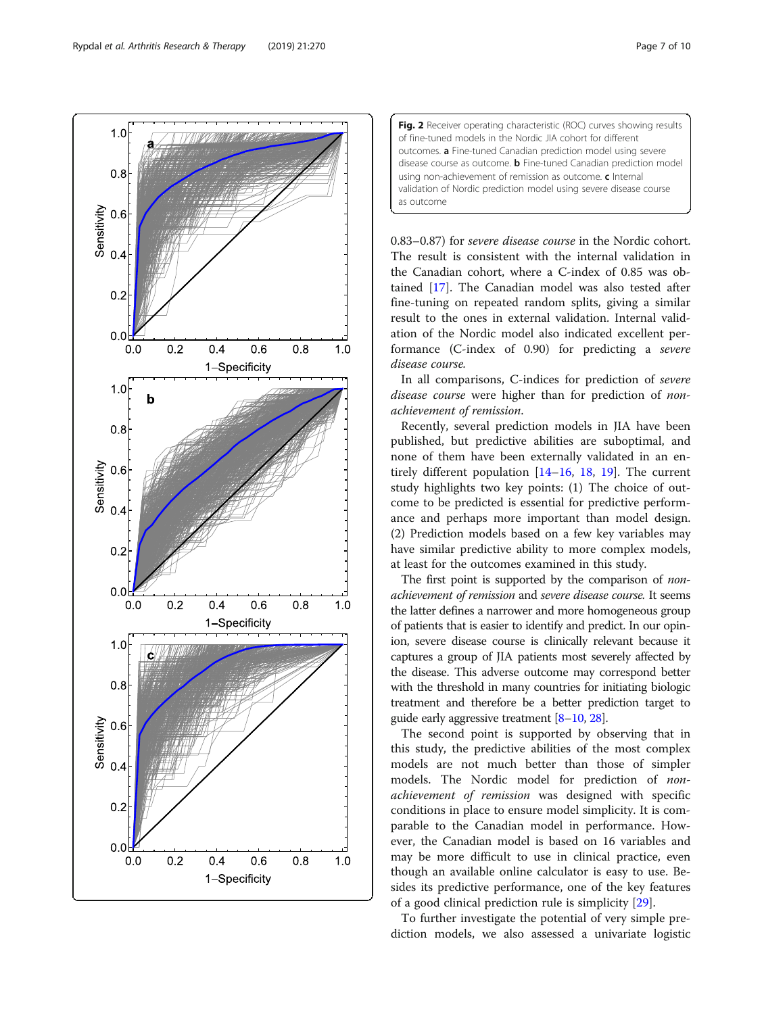<span id="page-6-0"></span>Rypdal et al. Arthritis Research & Therapy (2019) 21:270 Page 7 of 10



Fig. 2 Receiver operating characteristic (ROC) curves showing results of fine-tuned models in the Nordic JIA cohort for different outcomes. a Fine-tuned Canadian prediction model using severe disease course as outcome. **b** Fine-tuned Canadian prediction model using non-achievement of remission as outcome. c Internal validation of Nordic prediction model using severe disease course as outcome

0.83–0.87) for severe disease course in the Nordic cohort. The result is consistent with the internal validation in the Canadian cohort, where a C-index of 0.85 was obtained [[17](#page-9-0)]. The Canadian model was also tested after fine-tuning on repeated random splits, giving a similar result to the ones in external validation. Internal validation of the Nordic model also indicated excellent performance (C-index of 0.90) for predicting a severe disease course.

In all comparisons, C-indices for prediction of severe disease course were higher than for prediction of nonachievement of remission.

Recently, several prediction models in JIA have been published, but predictive abilities are suboptimal, and none of them have been externally validated in an entirely different population [\[14](#page-9-0)–[16,](#page-9-0) [18](#page-9-0), [19](#page-9-0)]. The current study highlights two key points: (1) The choice of outcome to be predicted is essential for predictive performance and perhaps more important than model design. (2) Prediction models based on a few key variables may have similar predictive ability to more complex models, at least for the outcomes examined in this study.

The first point is supported by the comparison of *non*achievement of remission and severe disease course. It seems the latter defines a narrower and more homogeneous group of patients that is easier to identify and predict. In our opinion, severe disease course is clinically relevant because it captures a group of JIA patients most severely affected by the disease. This adverse outcome may correspond better with the threshold in many countries for initiating biologic treatment and therefore be a better prediction target to guide early aggressive treatment [\[8](#page-8-0)–[10](#page-8-0), [28](#page-9-0)].

The second point is supported by observing that in this study, the predictive abilities of the most complex models are not much better than those of simpler models. The Nordic model for prediction of nonachievement of remission was designed with specific conditions in place to ensure model simplicity. It is comparable to the Canadian model in performance. However, the Canadian model is based on 16 variables and may be more difficult to use in clinical practice, even though an available online calculator is easy to use. Besides its predictive performance, one of the key features of a good clinical prediction rule is simplicity [\[29\]](#page-9-0).

To further investigate the potential of very simple prediction models, we also assessed a univariate logistic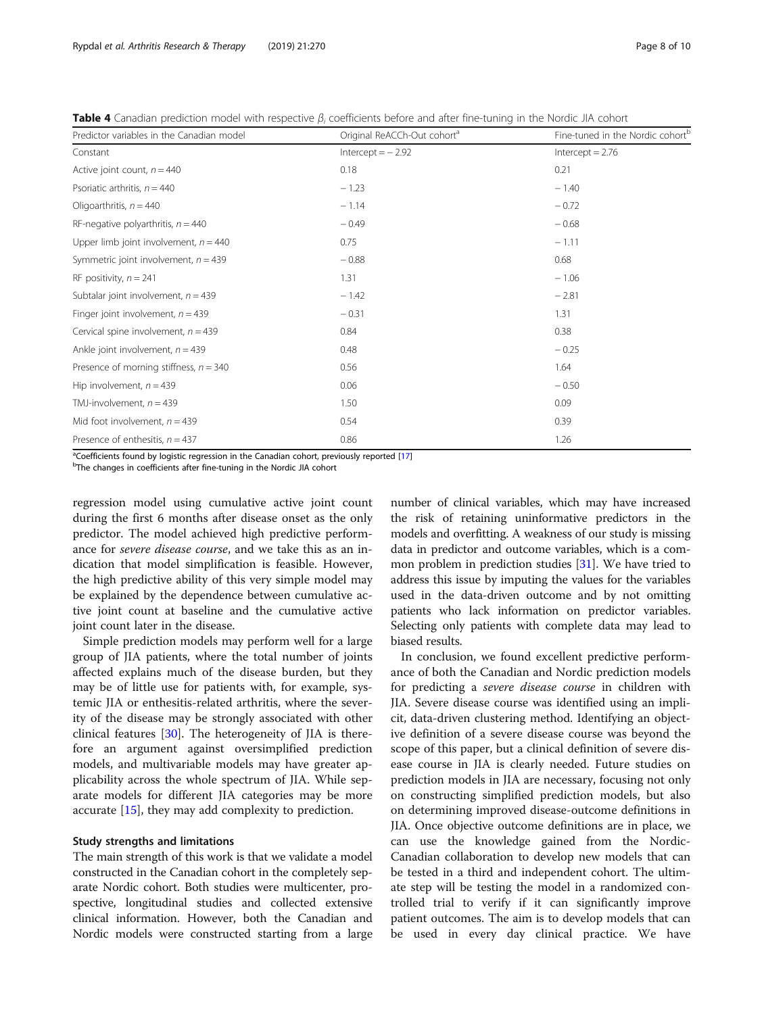<span id="page-7-0"></span>

|  |  |  |  |  |  |  |  |  | Table 4 Canadian prediction model with respective $\beta_i$ coefficients before and after fine-tuning in the Nordic JIA cohort |
|--|--|--|--|--|--|--|--|--|--------------------------------------------------------------------------------------------------------------------------------|
|--|--|--|--|--|--|--|--|--|--------------------------------------------------------------------------------------------------------------------------------|

| Predictor variables in the Canadian model | Original ReACCh-Out cohort <sup>a</sup> | Fine-tuned in the Nordic cohort <sup>b</sup> |
|-------------------------------------------|-----------------------------------------|----------------------------------------------|
| Constant                                  | $Intercept = -2.92$                     | $Intercept = 2.76$                           |
| Active joint count, $n = 440$             | 0.18                                    | 0.21                                         |
| Psoriatic arthritis, $n = 440$            | $-1.23$                                 | $-1.40$                                      |
| Oligoarthritis, $n = 440$                 | $-1.14$                                 | $-0.72$                                      |
| RF-negative polyarthritis, $n = 440$      | $-0.49$                                 | $-0.68$                                      |
| Upper limb joint involvement, $n = 440$   | 0.75                                    | $-1.11$                                      |
| Symmetric joint involvement, $n = 439$    | $-0.88$                                 | 0.68                                         |
| RF positivity, $n = 241$                  | 1.31                                    | $-1.06$                                      |
| Subtalar joint involvement, $n = 439$     | $-1.42$                                 | $-2.81$                                      |
| Finger joint involvement, $n = 439$       | $-0.31$                                 | 1.31                                         |
| Cervical spine involvement, $n = 439$     | 0.84                                    | 0.38                                         |
| Ankle joint involvement, $n = 439$        | 0.48                                    | $-0.25$                                      |
| Presence of morning stiffness, $n = 340$  | 0.56                                    | 1.64                                         |
| Hip involvement, $n = 439$                | 0.06                                    | $-0.50$                                      |
| TMJ-involvement, $n = 439$                | 1.50                                    | 0.09                                         |
| Mid foot involvement, $n = 439$           | 0.54                                    | 0.39                                         |
| Presence of enthesitis, $n = 437$         | 0.86                                    | 1.26                                         |

a<sup>n</sup>Coefficients found by logistic regression in the Canadian cohort, previously reported [[17\]](#page-9-0)<br><sup>b</sup>The changes in coefficients after fine tuning in the Nerdis 11A cohort

<sup>b</sup>The changes in coefficients after fine-tuning in the Nordic JIA cohort

regression model using cumulative active joint count during the first 6 months after disease onset as the only predictor. The model achieved high predictive performance for severe disease course, and we take this as an indication that model simplification is feasible. However, the high predictive ability of this very simple model may be explained by the dependence between cumulative active joint count at baseline and the cumulative active joint count later in the disease.

Simple prediction models may perform well for a large group of JIA patients, where the total number of joints affected explains much of the disease burden, but they may be of little use for patients with, for example, systemic JIA or enthesitis-related arthritis, where the severity of the disease may be strongly associated with other clinical features [[30](#page-9-0)]. The heterogeneity of JIA is therefore an argument against oversimplified prediction models, and multivariable models may have greater applicability across the whole spectrum of JIA. While separate models for different JIA categories may be more accurate [[15\]](#page-9-0), they may add complexity to prediction.

## Study strengths and limitations

The main strength of this work is that we validate a model constructed in the Canadian cohort in the completely separate Nordic cohort. Both studies were multicenter, prospective, longitudinal studies and collected extensive clinical information. However, both the Canadian and Nordic models were constructed starting from a large

number of clinical variables, which may have increased the risk of retaining uninformative predictors in the models and overfitting. A weakness of our study is missing data in predictor and outcome variables, which is a common problem in prediction studies  $[31]$ . We have tried to address this issue by imputing the values for the variables used in the data-driven outcome and by not omitting patients who lack information on predictor variables. Selecting only patients with complete data may lead to biased results.

In conclusion, we found excellent predictive performance of both the Canadian and Nordic prediction models for predicting a severe disease course in children with JIA. Severe disease course was identified using an implicit, data-driven clustering method. Identifying an objective definition of a severe disease course was beyond the scope of this paper, but a clinical definition of severe disease course in JIA is clearly needed. Future studies on prediction models in JIA are necessary, focusing not only on constructing simplified prediction models, but also on determining improved disease-outcome definitions in JIA. Once objective outcome definitions are in place, we can use the knowledge gained from the Nordic-Canadian collaboration to develop new models that can be tested in a third and independent cohort. The ultimate step will be testing the model in a randomized controlled trial to verify if it can significantly improve patient outcomes. The aim is to develop models that can be used in every day clinical practice. We have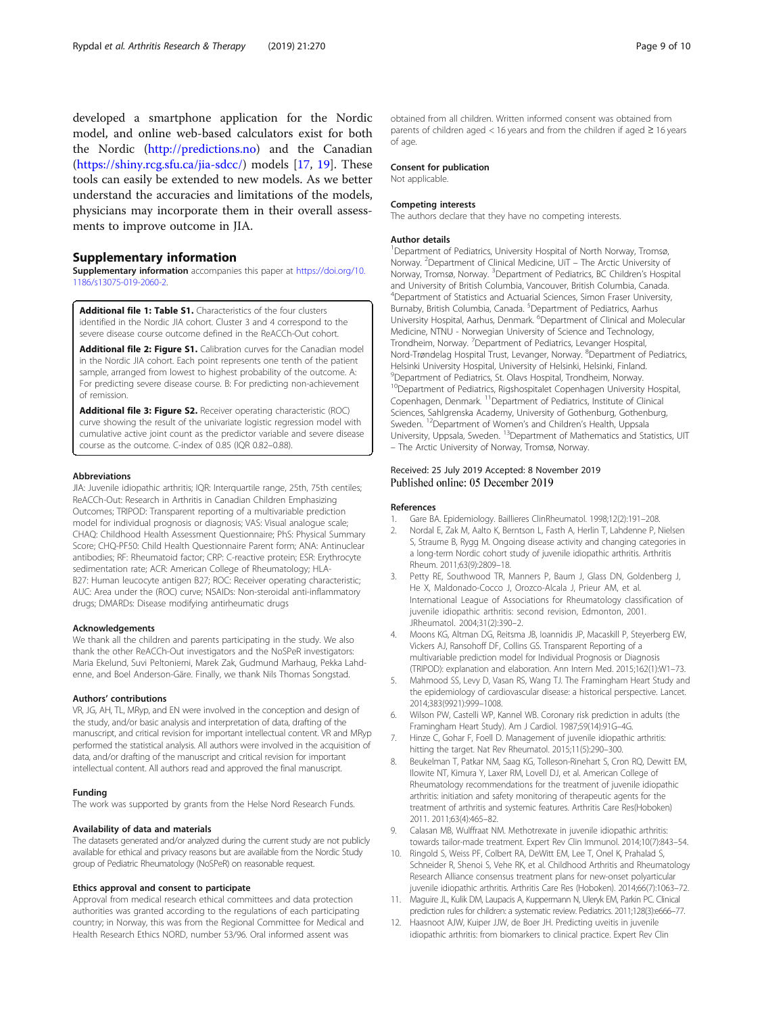<span id="page-8-0"></span>developed a smartphone application for the Nordic model, and online web-based calculators exist for both the Nordic [\(http://predictions.no\)](http://predictions.no) and the Canadian (<https://shiny.rcg.sfu.ca/jia-sdcc/>) models [[17,](#page-9-0) [19](#page-9-0)]. These tools can easily be extended to new models. As we better understand the accuracies and limitations of the models, physicians may incorporate them in their overall assessments to improve outcome in JIA.

## Supplementary information

Supplementary information accompanies this paper at [https://doi.org/10.](https://doi.org/10.1186/s13075-019-2060-2) [1186/s13075-019-2060-2.](https://doi.org/10.1186/s13075-019-2060-2)

Additional file 1: Table S1. Characteristics of the four clusters identified in the Nordic JIA cohort. Cluster 3 and 4 correspond to the severe disease course outcome defined in the ReACCh-Out cohort.

Additional file 2: Figure S1. Calibration curves for the Canadian model in the Nordic JIA cohort. Each point represents one tenth of the patient sample, arranged from lowest to highest probability of the outcome. A: For predicting severe disease course. B: For predicting non-achievement of remission.

Additional file 3: Figure S2. Receiver operating characteristic (ROC) curve showing the result of the univariate logistic regression model with cumulative active joint count as the predictor variable and severe disease course as the outcome. C-index of 0.85 (IQR 0.82–0.88).

#### Abbreviations

JIA: Juvenile idiopathic arthritis; IQR: Interquartile range, 25th, 75th centiles; ReACCh-Out: Research in Arthritis in Canadian Children Emphasizing Outcomes; TRIPOD: Transparent reporting of a multivariable prediction model for individual prognosis or diagnosis; VAS: Visual analogue scale; CHAQ: Childhood Health Assessment Questionnaire; PhS: Physical Summary Score; CHQ-PF50: Child Health Questionnaire Parent form; ANA: Antinuclear antibodies; RF: Rheumatoid factor; CRP: C-reactive protein; ESR: Erythrocyte sedimentation rate; ACR: American College of Rheumatology; HLA-B27: Human leucocyte antigen B27; ROC: Receiver operating characteristic; AUC: Area under the (ROC) curve; NSAIDs: Non-steroidal anti-inflammatory drugs; DMARDs: Disease modifying antirheumatic drugs

#### Acknowledgements

We thank all the children and parents participating in the study. We also thank the other ReACCh-Out investigators and the NoSPeR investigators: Maria Ekelund, Suvi Peltoniemi, Marek Zak, Gudmund Marhaug, Pekka Lahdenne, and Boel Anderson-Gäre. Finally, we thank Nils Thomas Songstad.

#### Authors' contributions

VR, JG, AH, TL, MRyp, and EN were involved in the conception and design of the study, and/or basic analysis and interpretation of data, drafting of the manuscript, and critical revision for important intellectual content. VR and MRyp performed the statistical analysis. All authors were involved in the acquisition of data, and/or drafting of the manuscript and critical revision for important intellectual content. All authors read and approved the final manuscript.

#### Funding

The work was supported by grants from the Helse Nord Research Funds.

#### Availability of data and materials

The datasets generated and/or analyzed during the current study are not publicly available for ethical and privacy reasons but are available from the Nordic Study group of Pediatric Rheumatology (NoSPeR) on reasonable request.

#### Ethics approval and consent to participate

Approval from medical research ethical committees and data protection authorities was granted according to the regulations of each participating country; in Norway, this was from the Regional Committee for Medical and Health Research Ethics NORD, number 53/96. Oral informed assent was

obtained from all children. Written informed consent was obtained from parents of children aged < 16 years and from the children if aged  $\geq$  16 years of age.

#### Consent for publication

Not applicable.

#### Competing interests

The authors declare that they have no competing interests.

#### Author details

<sup>1</sup> Department of Pediatrics, University Hospital of North Norway, Tromsø Norway. <sup>2</sup>Department of Clinical Medicine, UiT - The Arctic University of Norway, Tromsø, Norway. <sup>3</sup>Department of Pediatrics, BC Children's Hospital and University of British Columbia, Vancouver, British Columbia, Canada. 4 Department of Statistics and Actuarial Sciences, Simon Fraser University, Burnaby, British Columbia, Canada. <sup>5</sup>Department of Pediatrics, Aarhus University Hospital, Aarhus, Denmark. <sup>6</sup> Department of Clinical and Molecular Medicine, NTNU - Norwegian University of Science and Technology, Trondheim, Norway. <sup>7</sup>Department of Pediatrics, Levanger Hospital, Nord-Trøndelag Hospital Trust, Levanger, Norway. <sup>8</sup>Department of Pediatrics Helsinki University Hospital, University of Helsinki, Helsinki, Finland. 9 Department of Pediatrics, St. Olavs Hospital, Trondheim, Norway. <sup>10</sup>Department of Pediatrics, Rigshospitalet Copenhagen University Hospital, Copenhagen, Denmark. 11Department of Pediatrics, Institute of Clinical Sciences, Sahlgrenska Academy, University of Gothenburg, Gothenburg, Sweden. <sup>12</sup>Department of Women's and Children's Health, Uppsala University, Uppsala, Sweden. 13Department of Mathematics and Statistics, UIT – The Arctic University of Norway, Tromsø, Norway.

### Received: 25 July 2019 Accepted: 8 November 2019 Published online: 05 December 2019

#### References

- 1. Gare BA. Epidemiology. Baillieres ClinRheumatol. 1998;12(2):191–208.
- 2. Nordal E, Zak M, Aalto K, Berntson L, Fasth A, Herlin T, Lahdenne P, Nielsen S, Straume B, Rygg M. Ongoing disease activity and changing categories in a long-term Nordic cohort study of juvenile idiopathic arthritis. Arthritis Rheum. 2011;63(9):2809–18.
- 3. Petty RE, Southwood TR, Manners P, Baum J, Glass DN, Goldenberg J, He X, Maldonado-Cocco J, Orozco-Alcala J, Prieur AM, et al. International League of Associations for Rheumatology classification of juvenile idiopathic arthritis: second revision, Edmonton, 2001. JRheumatol. 2004;31(2):390–2.
- 4. Moons KG, Altman DG, Reitsma JB, Ioannidis JP, Macaskill P, Steyerberg EW, Vickers AJ, Ransohoff DF, Collins GS. Transparent Reporting of a multivariable prediction model for Individual Prognosis or Diagnosis (TRIPOD): explanation and elaboration. Ann Intern Med. 2015;162(1):W1–73.
- 5. Mahmood SS, Levy D, Vasan RS, Wang TJ. The Framingham Heart Study and the epidemiology of cardiovascular disease: a historical perspective. Lancet. 2014;383(9921):999–1008.
- 6. Wilson PW, Castelli WP, Kannel WB. Coronary risk prediction in adults (the Framingham Heart Study). Am J Cardiol. 1987;59(14):91G–4G.
- 7. Hinze C, Gohar F, Foell D. Management of juvenile idiopathic arthritis: hitting the target. Nat Rev Rheumatol. 2015;11(5):290–300.
- 8. Beukelman T, Patkar NM, Saag KG, Tolleson-Rinehart S, Cron RQ, Dewitt EM, Ilowite NT, Kimura Y, Laxer RM, Lovell DJ, et al. American College of Rheumatology recommendations for the treatment of juvenile idiopathic arthritis: initiation and safety monitoring of therapeutic agents for the treatment of arthritis and systemic features. Arthritis Care Res(Hoboken) 2011. 2011;63(4):465–82.
- Calasan MB, Wulffraat NM. Methotrexate in juvenile idiopathic arthritis: towards tailor-made treatment. Expert Rev Clin Immunol. 2014;10(7):843–54.
- 10. Ringold S, Weiss PF, Colbert RA, DeWitt EM, Lee T, Onel K, Prahalad S, Schneider R, Shenoi S, Vehe RK, et al. Childhood Arthritis and Rheumatology Research Alliance consensus treatment plans for new-onset polyarticular juvenile idiopathic arthritis. Arthritis Care Res (Hoboken). 2014;66(7):1063–72.
- 11. Maguire JL, Kulik DM, Laupacis A, Kuppermann N, Uleryk EM, Parkin PC. Clinical prediction rules for children: a systematic review. Pediatrics. 2011;128(3):e666–77.
- 12. Haasnoot AJW, Kuiper JJW, de Boer JH. Predicting uveitis in juvenile idiopathic arthritis: from biomarkers to clinical practice. Expert Rev Clin